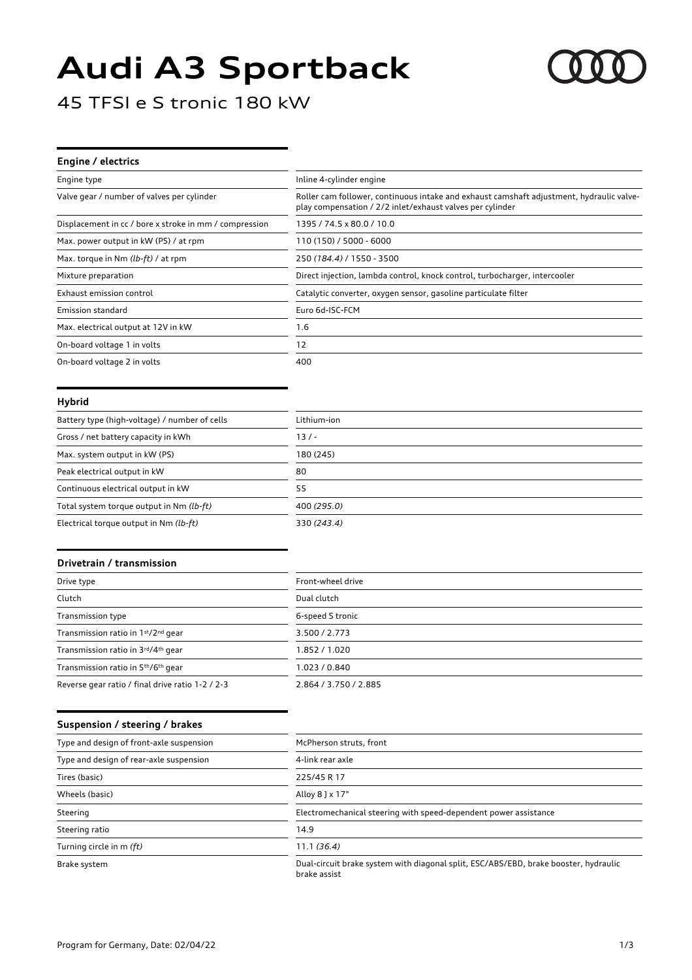# **Audi A3 Sportback**



45 TFSI e S tronic 180 kW

| Engine / electrics                                     |                                                                                                                                                       |
|--------------------------------------------------------|-------------------------------------------------------------------------------------------------------------------------------------------------------|
| Engine type                                            | Inline 4-cylinder engine                                                                                                                              |
| Valve gear / number of valves per cylinder             | Roller cam follower, continuous intake and exhaust camshaft adjustment, hydraulic valve-<br>play compensation / 2/2 inlet/exhaust valves per cylinder |
| Displacement in cc / bore x stroke in mm / compression | 1395 / 74.5 x 80.0 / 10.0                                                                                                                             |
| Max. power output in kW (PS) / at rpm                  | 110 (150) / 5000 - 6000                                                                                                                               |
| Max. torque in Nm (lb-ft) / at rpm                     | 250 (184.4) / 1550 - 3500                                                                                                                             |
| Mixture preparation                                    | Direct injection, lambda control, knock control, turbocharger, intercooler                                                                            |
| Exhaust emission control                               | Catalytic converter, oxygen sensor, gasoline particulate filter                                                                                       |
| Emission standard                                      | Euro 6d-ISC-FCM                                                                                                                                       |
| Max. electrical output at 12V in kW                    | 1.6                                                                                                                                                   |
| On-board voltage 1 in volts                            | 12                                                                                                                                                    |
| On-board voltage 2 in volts                            | 400                                                                                                                                                   |

#### **Hybrid**

| Battery type (high-voltage) / number of cells | Lithium-ion |
|-----------------------------------------------|-------------|
| Gross / net battery capacity in kWh           | $13/ -$     |
| Max. system output in kW (PS)                 | 180 (245)   |
| Peak electrical output in kW                  | 80          |
| Continuous electrical output in kW            | 55          |
| Total system torque output in Nm (lb-ft)      | 400 (295.0) |
| Electrical torque output in Nm (lb-ft)        | 330 (243.4) |

#### **Drivetrain / transmission**

| Drive type                                                  | Front-wheel drive     |
|-------------------------------------------------------------|-----------------------|
| Clutch                                                      | Dual clutch           |
| Transmission type                                           | 6-speed S tronic      |
| Transmission ratio in 1st/2nd gear                          | 3.500 / 2.773         |
| Transmission ratio in 3rd/4th gear                          | 1.852 / 1.020         |
| Transmission ratio in 5 <sup>th</sup> /6 <sup>th</sup> gear | 1.023 / 0.840         |
| Reverse gear ratio / final drive ratio 1-2 / 2-3            | 2.864 / 3.750 / 2.885 |

#### **Suspension / steering / brakes**

| Type and design of front-axle suspension | McPherson struts, front                                                                              |
|------------------------------------------|------------------------------------------------------------------------------------------------------|
| Type and design of rear-axle suspension  | 4-link rear axle                                                                                     |
| Tires (basic)                            | 225/45 R 17                                                                                          |
| Wheels (basic)                           | Alloy 8 J x 17"                                                                                      |
| Steering                                 | Electromechanical steering with speed-dependent power assistance                                     |
| Steering ratio                           | 14.9                                                                                                 |
| Turning circle in m (ft)                 | 11.1(36.4)                                                                                           |
| Brake system                             | Dual-circuit brake system with diagonal split, ESC/ABS/EBD, brake booster, hydraulic<br>brake assist |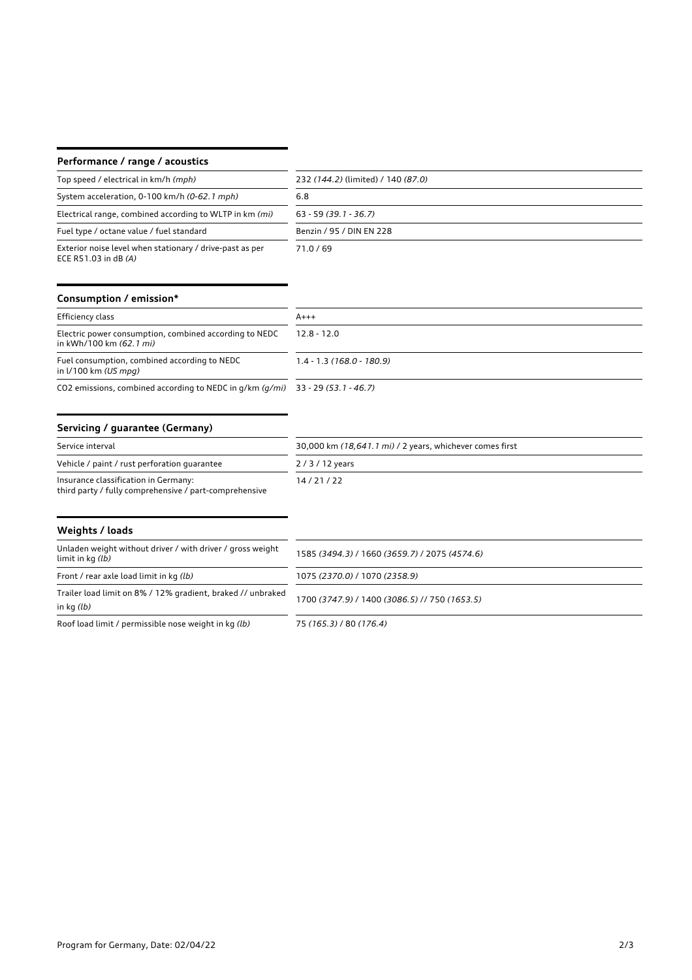## **Performance / range / acoustics**

| Top speed / electrical in km/h (mph)                                               | 232 (144.2) (limited) / 140 (87.0) |
|------------------------------------------------------------------------------------|------------------------------------|
| System acceleration, 0-100 km/h (0-62.1 mph)                                       | 6.8                                |
| Electrical range, combined according to WLTP in km (mi)                            | $63 - 59(39.1 - 36.7)$             |
| Fuel type / octane value / fuel standard                                           | Benzin / 95 / DIN EN 228           |
| Exterior noise level when stationary / drive-past as per<br>ECE R51.03 in dB $(A)$ | 71.0/69                            |

## **Consumption / emission\***

| Efficiency class                                                                  | $A+++$                     |
|-----------------------------------------------------------------------------------|----------------------------|
| Electric power consumption, combined according to NEDC<br>in kWh/100 km (62.1 mi) | $12.8 - 12.0$              |
| Fuel consumption, combined according to NEDC<br>in $1/100$ km (US mpg)            | $1.4 - 1.3(168.0 - 180.9)$ |

CO2 emissions, combined according to NEDC in g/km *(g/mi)* 33 - 29 *(53.1 - 46.7)*

# **Servicing / guarantee (Germany)**

| Service interval                                                                               | 30,000 km (18,641.1 mi) / 2 years, whichever comes first |
|------------------------------------------------------------------------------------------------|----------------------------------------------------------|
| Vehicle / paint / rust perforation quarantee                                                   | 2/3/12 years                                             |
| Insurance classification in Germany:<br>third party / fully comprehensive / part-comprehensive | 14/21/22                                                 |

| Weights / loads                                                                 |                                               |
|---------------------------------------------------------------------------------|-----------------------------------------------|
| Unladen weight without driver / with driver / gross weight<br>limit in kg (lb)  | 1585 (3494.3) / 1660 (3659.7) / 2075 (4574.6) |
| Front / rear axle load limit in kg (lb)                                         | 1075 (2370.0) / 1070 (2358.9)                 |
| Trailer load limit on 8% / 12% gradient, braked // unbraked<br>in $kq$ ( $lb$ ) | 1700 (3747.9) / 1400 (3086.5) // 750 (1653.5) |
| Roof load limit / permissible nose weight in kg (lb)                            | 75 (165.3) / 80 (176.4)                       |